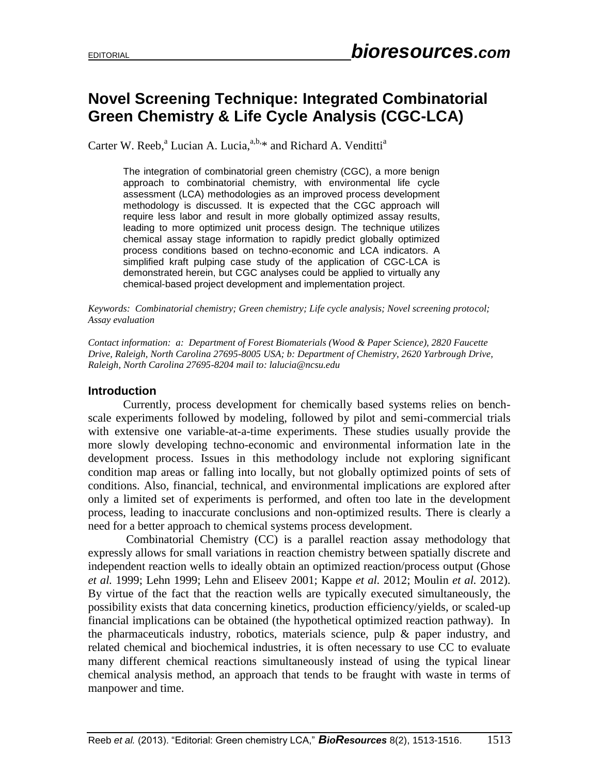## **Novel Screening Technique: Integrated Combinatorial Green Chemistry & Life Cycle Analysis (CGC-LCA)**

Carter W. Reeb,<sup>a</sup> Lucian A. Lucia,<sup>a,b,\*</sup> and Richard A. Venditti<sup>a</sup>

The integration of combinatorial green chemistry (CGC), a more benign approach to combinatorial chemistry, with environmental life cycle assessment (LCA) methodologies as an improved process development methodology is discussed. It is expected that the CGC approach will require less labor and result in more globally optimized assay results, leading to more optimized unit process design. The technique utilizes chemical assay stage information to rapidly predict globally optimized process conditions based on techno-economic and LCA indicators. A simplified kraft pulping case study of the application of CGC-LCA is demonstrated herein, but CGC analyses could be applied to virtually any chemical-based project development and implementation project.

*Keywords: Combinatorial chemistry; Green chemistry; Life cycle analysis; Novel screening protocol; Assay evaluation*

*Contact information: a: Department of Forest Biomaterials (Wood & Paper Science), 2820 Faucette Drive, Raleigh, North Carolina 27695-8005 USA; b: Department of Chemistry, 2620 Yarbrough Drive, Raleigh, North Carolina 27695-8204 mail to: lalucia@ncsu.edu*

## **Introduction**

Currently, process development for chemically based systems relies on benchscale experiments followed by modeling, followed by pilot and semi-commercial trials with extensive one variable-at-a-time experiments. These studies usually provide the more slowly developing techno-economic and environmental information late in the development process. Issues in this methodology include not exploring significant condition map areas or falling into locally, but not globally optimized points of sets of conditions. Also, financial, technical, and environmental implications are explored after only a limited set of experiments is performed, and often too late in the development process, leading to inaccurate conclusions and non-optimized results. There is clearly a need for a better approach to chemical systems process development.

Combinatorial Chemistry (CC) is a parallel reaction assay methodology that expressly allows for small variations in reaction chemistry between spatially discrete and independent reaction wells to ideally obtain an optimized reaction/process output (Ghose *et al.* 1999; Lehn 1999; Lehn and Eliseev 2001; Kappe *et al.* 2012; Moulin *et al.* 2012). By virtue of the fact that the reaction wells are typically executed simultaneously, the possibility exists that data concerning kinetics, production efficiency/yields, or scaled-up financial implications can be obtained (the hypothetical optimized reaction pathway). In the pharmaceuticals industry, robotics, materials science, pulp & paper industry, and related chemical and biochemical industries, it is often necessary to use CC to evaluate many different chemical reactions simultaneously instead of using the typical linear chemical analysis method, an approach that tends to be fraught with waste in terms of manpower and time.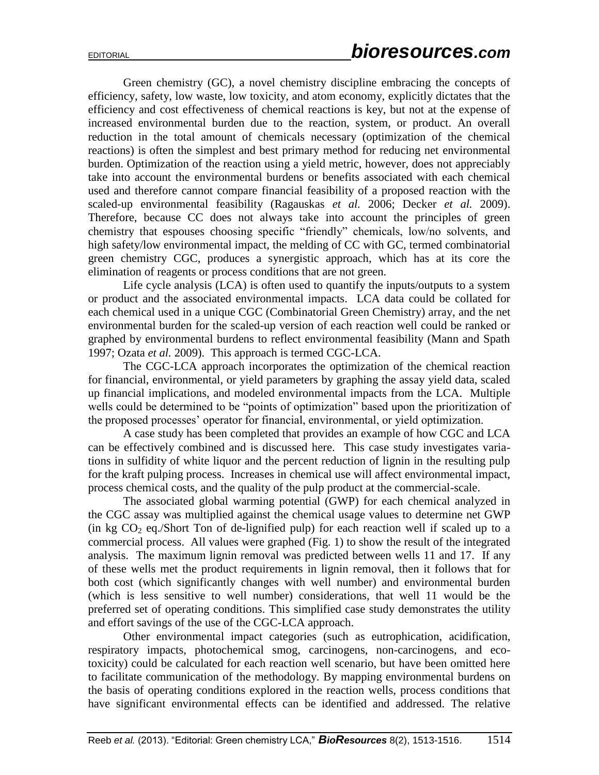Green chemistry (GC), a novel chemistry discipline embracing the concepts of efficiency, safety, low waste, low toxicity, and atom economy, explicitly dictates that the efficiency and cost effectiveness of chemical reactions is key, but not at the expense of increased environmental burden due to the reaction, system, or product. An overall reduction in the total amount of chemicals necessary (optimization of the chemical reactions) is often the simplest and best primary method for reducing net environmental burden. Optimization of the reaction using a yield metric, however, does not appreciably take into account the environmental burdens or benefits associated with each chemical used and therefore cannot compare financial feasibility of a proposed reaction with the scaled-up environmental feasibility (Ragauskas *et al.* 2006; Decker *et al.* 2009). Therefore, because CC does not always take into account the principles of green chemistry that espouses choosing specific "friendly" chemicals, low/no solvents, and high safety/low environmental impact, the melding of CC with GC, termed combinatorial green chemistry CGC, produces a synergistic approach, which has at its core the elimination of reagents or process conditions that are not green.

Life cycle analysis (LCA) is often used to quantify the inputs/outputs to a system or product and the associated environmental impacts. LCA data could be collated for each chemical used in a unique CGC (Combinatorial Green Chemistry) array, and the net environmental burden for the scaled-up version of each reaction well could be ranked or graphed by environmental burdens to reflect environmental feasibility (Mann and Spath 1997; Ozata *et al.* 2009). This approach is termed CGC-LCA.

The CGC-LCA approach incorporates the optimization of the chemical reaction for financial, environmental, or yield parameters by graphing the assay yield data, scaled up financial implications, and modeled environmental impacts from the LCA. Multiple wells could be determined to be "points of optimization" based upon the prioritization of the proposed processes' operator for financial, environmental, or yield optimization.

A case study has been completed that provides an example of how CGC and LCA can be effectively combined and is discussed here. This case study investigates variations in sulfidity of white liquor and the percent reduction of lignin in the resulting pulp for the kraft pulping process. Increases in chemical use will affect environmental impact, process chemical costs, and the quality of the pulp product at the commercial-scale.

The associated global warming potential (GWP) for each chemical analyzed in the CGC assay was multiplied against the chemical usage values to determine net GWP (in kg  $CO<sub>2</sub>$  eq./Short Ton of de-lignified pulp) for each reaction well if scaled up to a commercial process. All values were graphed (Fig. 1) to show the result of the integrated analysis. The maximum lignin removal was predicted between wells 11 and 17. If any of these wells met the product requirements in lignin removal, then it follows that for both cost (which significantly changes with well number) and environmental burden (which is less sensitive to well number) considerations, that well 11 would be the preferred set of operating conditions. This simplified case study demonstrates the utility and effort savings of the use of the CGC-LCA approach.

Other environmental impact categories (such as eutrophication, acidification, respiratory impacts, photochemical smog, carcinogens, non-carcinogens, and ecotoxicity) could be calculated for each reaction well scenario, but have been omitted here to facilitate communication of the methodology. By mapping environmental burdens on the basis of operating conditions explored in the reaction wells, process conditions that have significant environmental effects can be identified and addressed. The relative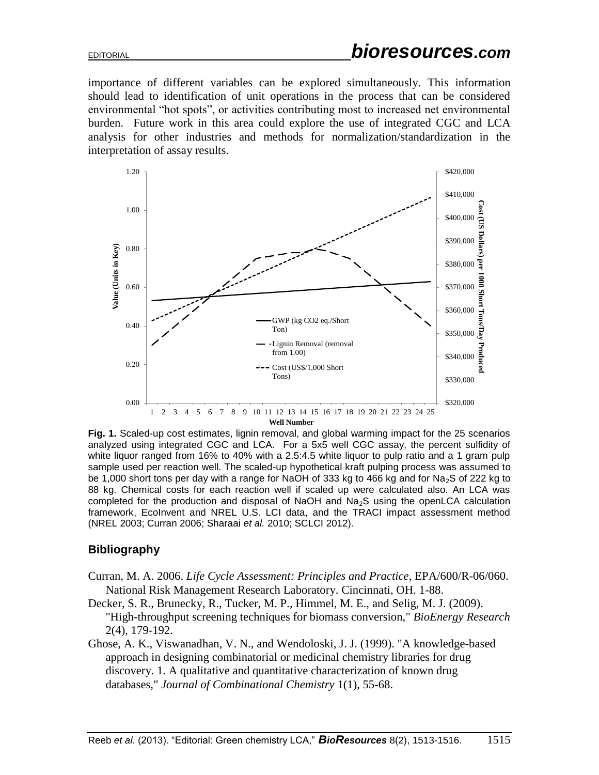importance of different variables can be explored simultaneously. This information should lead to identification of unit operations in the process that can be considered environmental "hot spots", or activities contributing most to increased net environmental burden. Future work in this area could explore the use of integrated CGC and LCA analysis for other industries and methods for normalization/standardization in the interpretation of assay results.



**Fig. 1.** Scaled-up cost estimates, lignin removal, and global warming impact for the 25 scenarios analyzed using integrated CGC and LCA. For a 5x5 well CGC assay, the percent sulfidity of white liquor ranged from 16% to 40% with a 2.5:4.5 white liquor to pulp ratio and a 1 gram pulp sample used per reaction well. The scaled-up hypothetical kraft pulping process was assumed to be 1,000 short tons per day with a range for NaOH of 333 kg to 466 kg and for Na<sub>2</sub>S of 222 kg to 88 kg. Chemical costs for each reaction well if scaled up were calculated also. An LCA was completed for the production and disposal of NaOH and  $Na<sub>2</sub>S$  using the openLCA calculation framework, EcoInvent and NREL U.S. LCI data, and the TRACI impact assessment method (NREL 2003; Curran 2006; Sharaai *et al.* 2010; SCLCI 2012).

## **Bibliography**

- Curran, M. A. 2006. *Life Cycle Assessment: Principles and Practice*, EPA/600/R-06/060. National Risk Management Research Laboratory. Cincinnati, OH. 1-88.
- Decker, S. R., Brunecky, R., Tucker, M. P., Himmel, M. E., and Selig, M. J. (2009). "High-throughput screening techniques for biomass conversion," *BioEnergy Research* 2(4), 179-192.
- Ghose, A. K., Viswanadhan, V. N., and Wendoloski, J. J. (1999). "A knowledge-based approach in designing combinatorial or medicinal chemistry libraries for drug discovery. 1. A qualitative and quantitative characterization of known drug databases," *Journal of Combinational Chemistry* 1(1), 55-68.